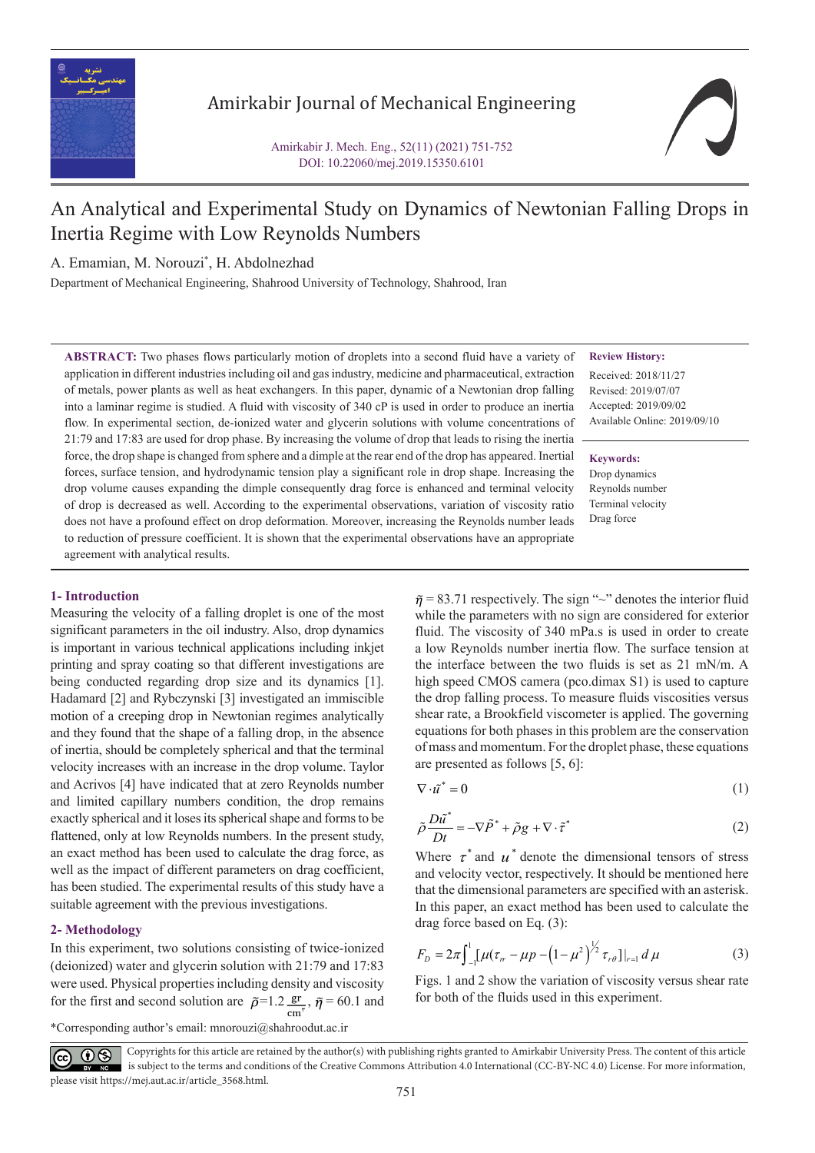

# Amirkabir Journal of Mechanical Engineering

Amirkabir J. Mech. Eng., 52(11) (2021) 751-752 DOI: 10.22060/mej.2019.15350.6101

# An Analytical and Experimental Study on Dynamics of Newtonian Falling Drops in Inertia Regime with Low Reynolds Numbers

A. Emamian, M. Norouzi\* , H. Abdolnezhad

Department of Mechanical Engineering, Shahrood University of Technology, Shahrood, Iran

**ABSTRACT:** Two phases flows particularly motion of droplets into a second fluid have a variety of application in different industries including oil and gas industry, medicine and pharmaceutical, extraction of metals, power plants as well as heat exchangers. In this paper, dynamic of a Newtonian drop falling into a laminar regime is studied. A fluid with viscosity of 340 cP is used in order to produce an inertia flow. In experimental section, de-ionized water and glycerin solutions with volume concentrations of 21:79 and 17:83 are used for drop phase. By increasing the volume of drop that leads to rising the inertia force, the drop shape is changed from sphere and a dimple at the rear end of the drop has appeared. Inertial forces, surface tension, and hydrodynamic tension play a significant role in drop shape. Increasing the drop volume causes expanding the dimple consequently drag force is enhanced and terminal velocity of drop is decreased as well. According to the experimental observations, variation of viscosity ratio does not have a profound effect on drop deformation. Moreover, increasing the Reynolds number leads to reduction of pressure coefficient. It is shown that the experimental observations have an appropriate agreement with analytical results.

# **Review History:**

Received: 2018/11/27 Revised: 2019/07/07 Accepted: 2019/09/02 Available Online: 2019/09/10

**Keywords:** Drop dynamics Reynolds number Terminal velocity Drag force

# **1- Introduction**

Measuring the velocity of a falling droplet is one of the most significant parameters in the oil industry. Also, drop dynamics is important in various technical applications including inkjet printing and spray coating so that different investigations are being conducted regarding drop size and its dynamics [1]. Hadamard [2] and Rybczynski [3] investigated an immiscible motion of a creeping drop in Newtonian regimes analytically and they found that the shape of a falling drop, in the absence of inertia, should be completely spherical and that the terminal velocity increases with an increase in the drop volume. Taylor and Acrivos [4] have indicated that at zero Reynolds number and limited capillary numbers condition, the drop remains exactly spherical and it loses its spherical shape and forms to be flattened, only at low Reynolds numbers. In the present study, an exact method has been used to calculate the drag force, as well as the impact of different parameters on drag coefficient, has been studied. The experimental results of this study have a suitable agreement with the previous investigations.

# **2- Methodology**

In this experiment, two solutions consisting of twice-ionized (deionized) water and glycerin solution with 21:79 and 17:83 were used. Physical properties including density and viscosity for the first and second solution are  $\tilde{\rho}=1.2 \frac{\text{gr}}{\text{cm}^3}$ ,  $\tilde{\eta}=60.1$  and

 $\tilde{\eta}$  = 83.71 respectively. The sign "~" denotes the interior fluid while the parameters with no sign are considered for exterior fluid. The viscosity of 340 mPa.s is used in order to create a low Reynolds number inertia flow. The surface tension at the interface between the two fluids is set as 21 mN/m. A high speed CMOS camera (pco.dimax S1) is used to capture the drop falling process. To measure fluids viscosities versus shear rate, a Brookfield viscometer is applied. The governing equations for both phases in this problem are the conservation of mass and momentum. For the droplet phase, these equations are presented as follows [5, 6]:

$$
\nabla \cdot \tilde{u}^* = 0 \tag{1}
$$

$$
\tilde{\rho}\frac{D\tilde{u}^*}{Dt} = -\nabla\tilde{P}^* + \tilde{\rho}g + \nabla\cdot\tilde{\tau}^*
$$
\n(2)

Where  $\tau^*$  and  $\mu^*$  denote the dimensional tensors of stress and velocity vector, respectively. It should be mentioned here that the dimensional parameters are specified with an asterisk. In this paper, an exact method has been used to calculate the drag force based on Eq. (3):

$$
F_D = 2\pi \int_{-1}^{1} [\mu (\tau_{rr} - \mu p - (1 - \mu^2))^{1/2} \tau_{r\theta}]|_{r=1} d\mu
$$
 (3)

Figs. 1 and 2 show the variation of viscosity versus shear rate for both of the fluids used in this experiment.

\*Corresponding author's email: mnorouzi@shahroodut.ac.ir